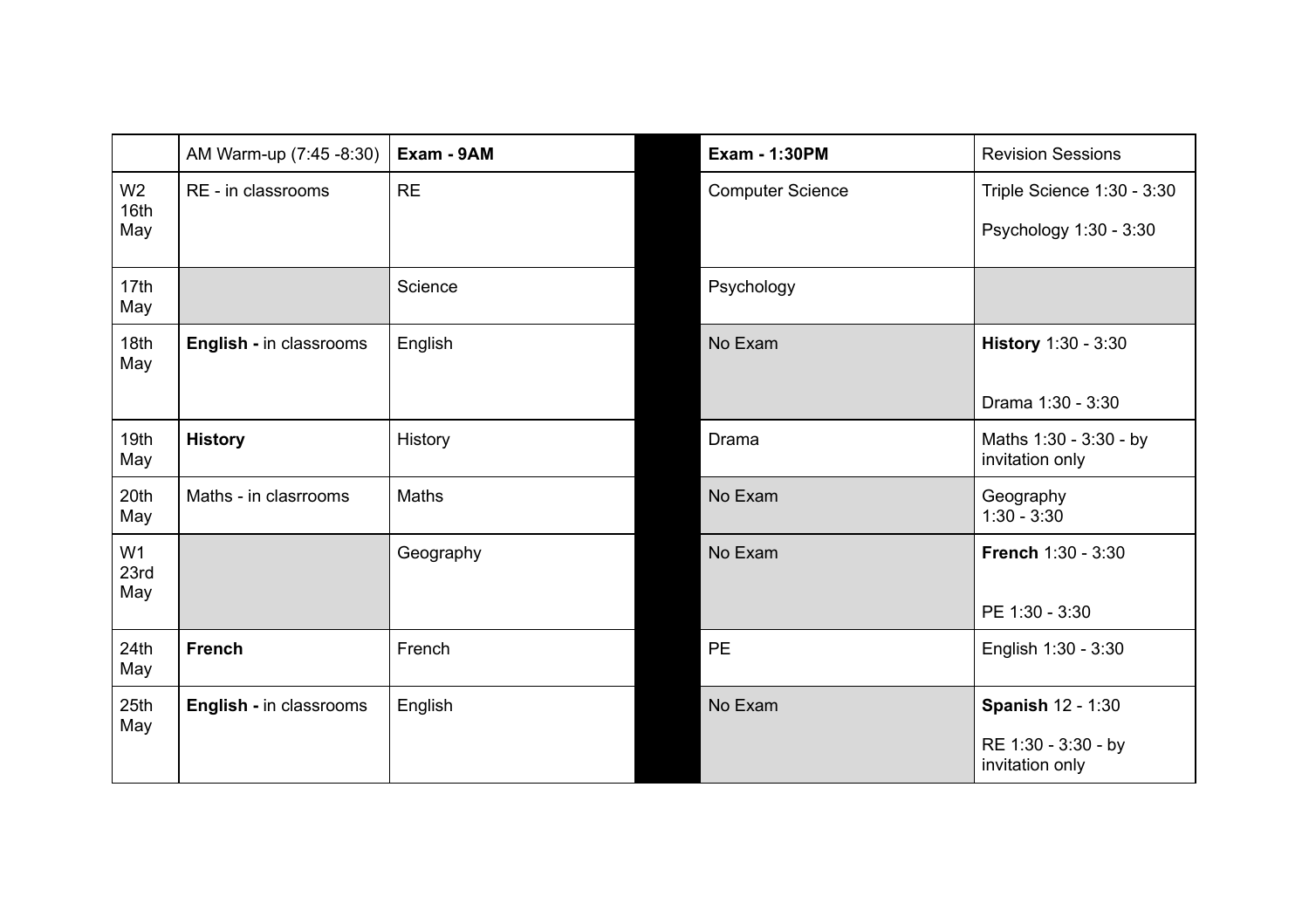|                               | AM Warm-up (7:45 -8:30) | Exam - 9AM   | <b>Exam - 1:30PM</b>    | <b>Revision Sessions</b>                                           |
|-------------------------------|-------------------------|--------------|-------------------------|--------------------------------------------------------------------|
| W <sub>2</sub><br>16th<br>May | RE - in classrooms      | <b>RE</b>    | <b>Computer Science</b> | Triple Science 1:30 - 3:30<br>Psychology 1:30 - 3:30               |
| 17th<br>May                   |                         | Science      | Psychology              |                                                                    |
| 18th<br>May                   | English - in classrooms | English      | No Exam                 | History 1:30 - 3:30<br>Drama 1:30 - 3:30                           |
| 19th<br>May                   | <b>History</b>          | History      | Drama                   | Maths 1:30 - 3:30 - by<br>invitation only                          |
| 20th<br>May                   | Maths - in clasrrooms   | <b>Maths</b> | No Exam                 | Geography<br>$1:30 - 3:30$                                         |
| W <sub>1</sub><br>23rd<br>May |                         | Geography    | No Exam                 | French 1:30 - 3:30<br>PE 1:30 - 3:30                               |
| 24th<br>May                   | <b>French</b>           | French       | PE                      | English 1:30 - 3:30                                                |
| 25th<br>May                   | English - in classrooms | English      | No Exam                 | <b>Spanish 12 - 1:30</b><br>RE 1:30 - 3:30 - by<br>invitation only |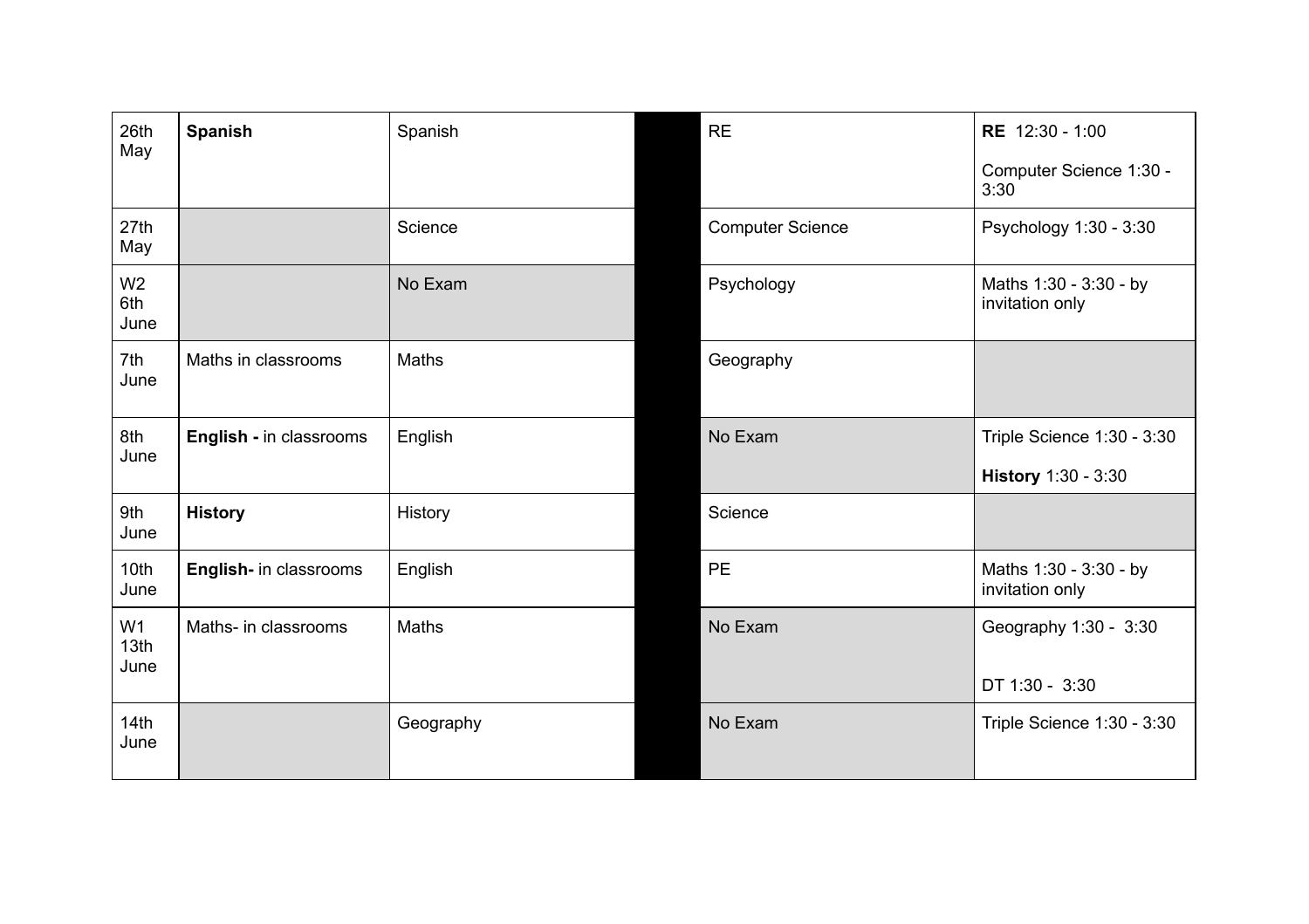| 26th<br>May                    | <b>Spanish</b>          | Spanish   | <b>RE</b>               | RE 12:30 - 1:00<br>Computer Science 1:30 -<br>3:30 |
|--------------------------------|-------------------------|-----------|-------------------------|----------------------------------------------------|
| 27th<br>May                    |                         | Science   | <b>Computer Science</b> | Psychology 1:30 - 3:30                             |
| W <sub>2</sub><br>6th<br>June  |                         | No Exam   | Psychology              | Maths 1:30 - 3:30 - by<br>invitation only          |
| 7th<br>June                    | Maths in classrooms     | Maths     | Geography               |                                                    |
| 8th<br>June                    | English - in classrooms | English   | No Exam                 | Triple Science 1:30 - 3:30<br>History 1:30 - 3:30  |
| 9th<br>June                    | <b>History</b>          | History   | Science                 |                                                    |
| 10th<br>June                   | English- in classrooms  | English   | <b>PE</b>               | Maths 1:30 - 3:30 - by<br>invitation only          |
| W <sub>1</sub><br>13th<br>June | Maths- in classrooms    | Maths     | No Exam                 | Geography 1:30 - 3:30<br>DT 1:30 - 3:30            |
| 14th<br>June                   |                         | Geography | No Exam                 | Triple Science 1:30 - 3:30                         |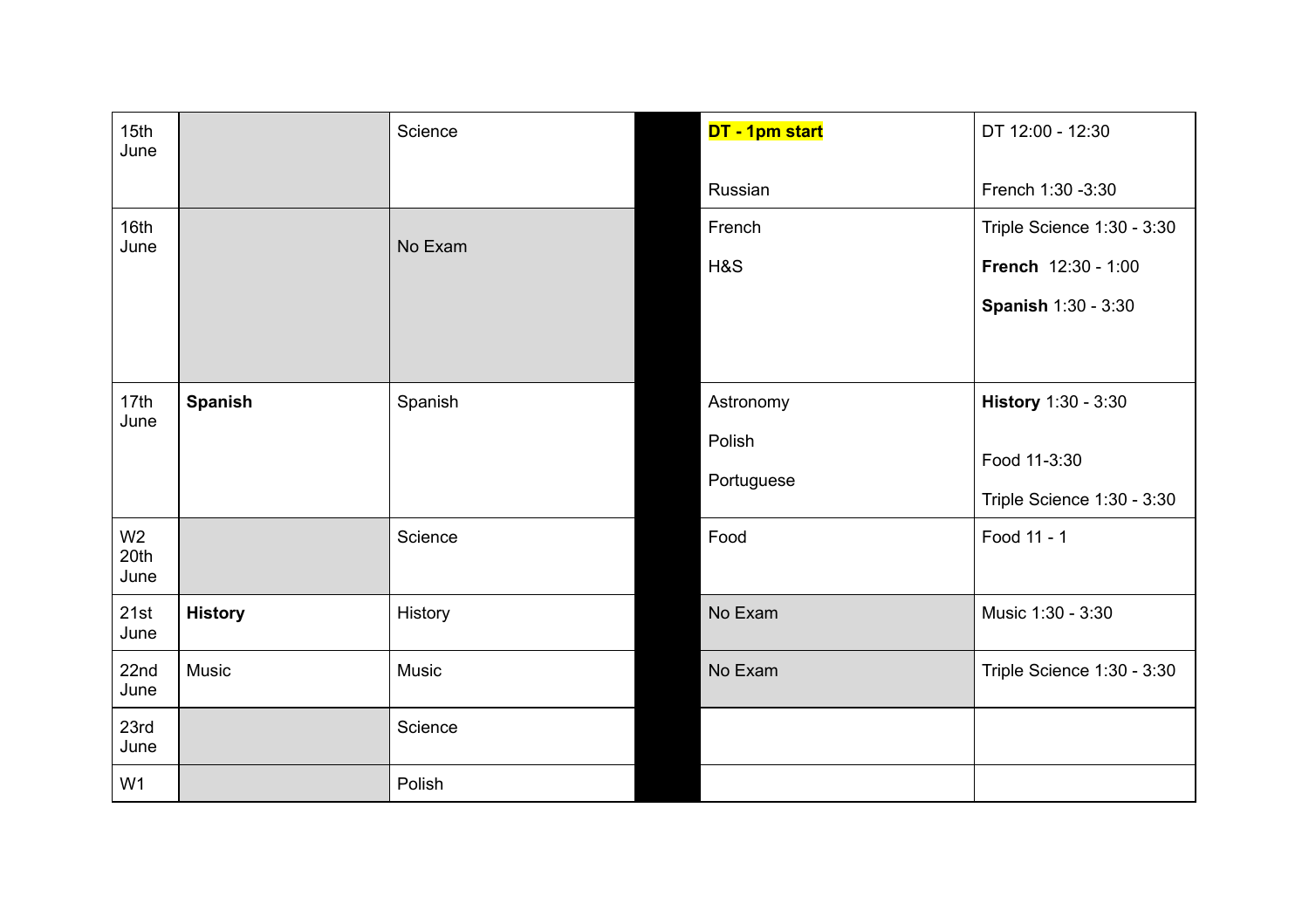| 15th<br>June                   |                | Science | DT - 1pm start | DT 12:00 - 12:30           |
|--------------------------------|----------------|---------|----------------|----------------------------|
|                                |                |         | Russian        | French 1:30 -3:30          |
| 16th<br>June                   |                | No Exam | French         | Triple Science 1:30 - 3:30 |
|                                |                |         | H&S            | French 12:30 - 1:00        |
|                                |                |         |                | <b>Spanish 1:30 - 3:30</b> |
|                                |                |         |                |                            |
| 17th<br>June                   | <b>Spanish</b> | Spanish | Astronomy      | History 1:30 - 3:30        |
|                                |                |         | Polish         |                            |
|                                |                |         | Portuguese     | Food 11-3:30               |
|                                |                |         |                | Triple Science 1:30 - 3:30 |
| W <sub>2</sub><br>20th<br>June |                | Science | Food           | Food 11 - 1                |
| 21st<br>June                   | <b>History</b> | History | No Exam        | Music 1:30 - 3:30          |
| 22nd<br>June                   | Music          | Music   | No Exam        | Triple Science 1:30 - 3:30 |
| 23rd<br>June                   |                | Science |                |                            |
| W <sub>1</sub>                 |                | Polish  |                |                            |